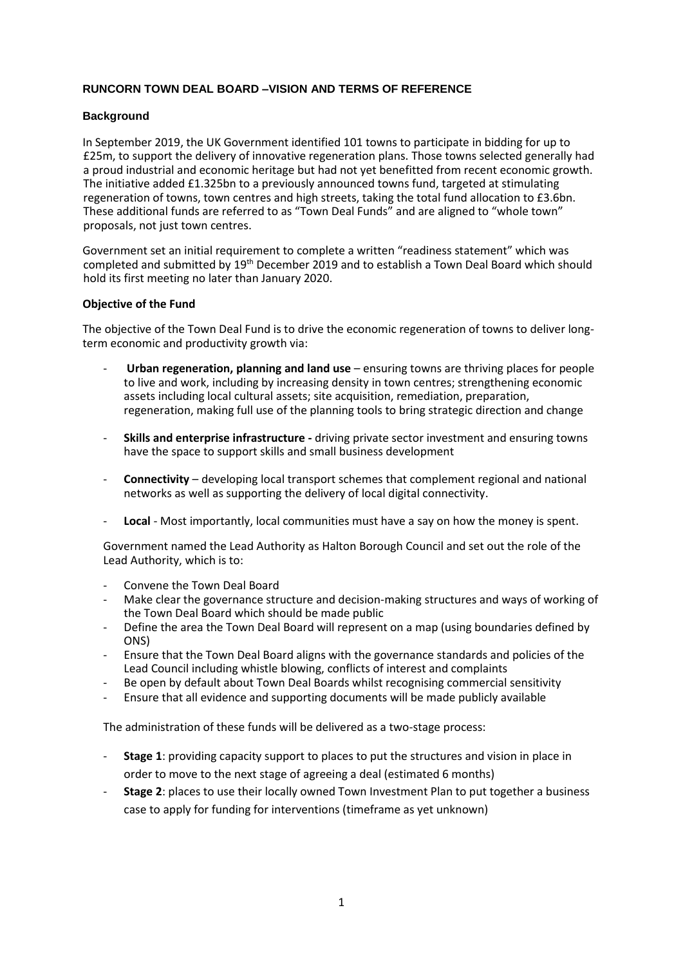# **RUNCORN TOWN DEAL BOARD –VISION AND TERMS OF REFERENCE**

#### **Background**

In September 2019, the UK Government identified 101 towns to participate in bidding for up to £25m, to support the delivery of innovative regeneration plans. Those towns selected generally had a proud industrial and economic heritage but had not yet benefitted from recent economic growth. The initiative added £1.325bn to a previously announced towns fund, targeted at stimulating regeneration of towns, town centres and high streets, taking the total fund allocation to £3.6bn. These additional funds are referred to as "Town Deal Funds" and are aligned to "whole town" proposals, not just town centres.

Government set an initial requirement to complete a written "readiness statement" which was completed and submitted by 19th December 2019 and to establish a Town Deal Board which should hold its first meeting no later than January 2020.

#### **Objective of the Fund**

The objective of the Town Deal Fund is to drive the economic regeneration of towns to deliver longterm economic and productivity growth via:

- **Urban regeneration, planning and land use**  ensuring towns are thriving places for people to live and work, including by increasing density in town centres; strengthening economic assets including local cultural assets; site acquisition, remediation, preparation, regeneration, making full use of the planning tools to bring strategic direction and change
- **Skills and enterprise infrastructure -** driving private sector investment and ensuring towns have the space to support skills and small business development
- **Connectivity** developing local transport schemes that complement regional and national networks as well as supporting the delivery of local digital connectivity.
- Local Most importantly, local communities must have a say on how the money is spent.

Government named the Lead Authority as Halton Borough Council and set out the role of the Lead Authority, which is to:

- Convene the Town Deal Board
- Make clear the governance structure and decision-making structures and ways of working of the Town Deal Board which should be made public
- Define the area the Town Deal Board will represent on a map (using boundaries defined by ONS)
- Ensure that the Town Deal Board aligns with the governance standards and policies of the Lead Council including whistle blowing, conflicts of interest and complaints
- Be open by default about Town Deal Boards whilst recognising commercial sensitivity
- Ensure that all evidence and supporting documents will be made publicly available

The administration of these funds will be delivered as a two-stage process:

- **Stage 1**: providing capacity support to places to put the structures and vision in place in order to move to the next stage of agreeing a deal (estimated 6 months)
- **Stage 2**: places to use their locally owned Town Investment Plan to put together a business case to apply for funding for interventions (timeframe as yet unknown)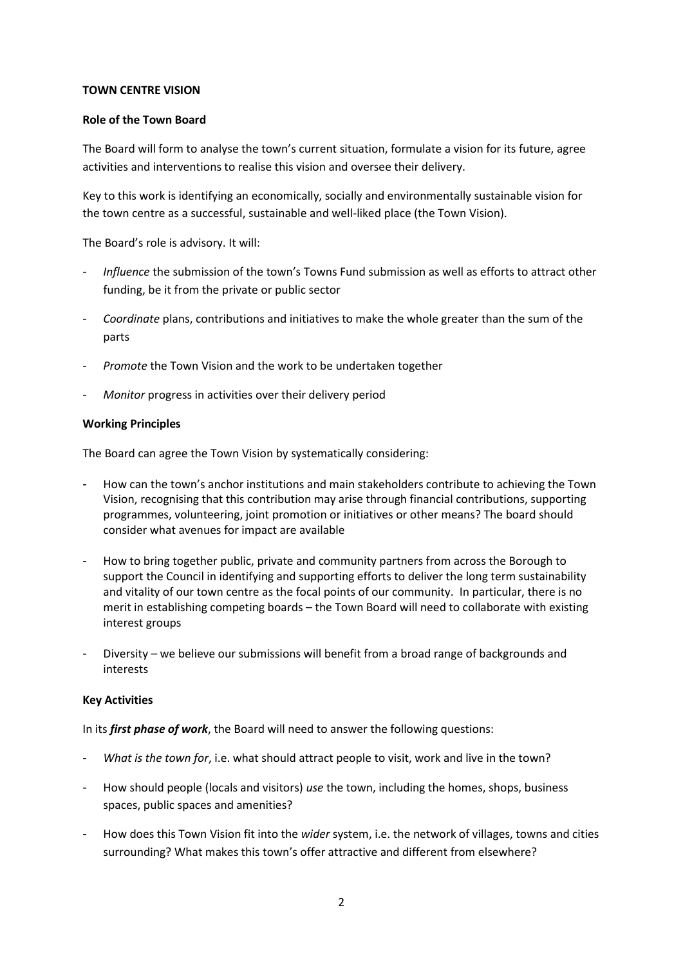## **TOWN CENTRE VISION**

#### **Role of the Town Board**

The Board will form to analyse the town's current situation, formulate a vision for its future, agree activities and interventions to realise this vision and oversee their delivery.

Key to this work is identifying an economically, socially and environmentally sustainable vision for the town centre as a successful, sustainable and well-liked place (the Town Vision).

The Board's role is advisory. It will:

- *Influence* the submission of the town's Towns Fund submission as well as efforts to attract other funding, be it from the private or public sector
- *Coordinate* plans, contributions and initiatives to make the whole greater than the sum of the parts
- *Promote* the Town Vision and the work to be undertaken together
- *Monitor* progress in activities over their delivery period

#### **Working Principles**

The Board can agree the Town Vision by systematically considering:

- How can the town's anchor institutions and main stakeholders contribute to achieving the Town Vision, recognising that this contribution may arise through financial contributions, supporting programmes, volunteering, joint promotion or initiatives or other means? The board should consider what avenues for impact are available
- How to bring together public, private and community partners from across the Borough to support the Council in identifying and supporting efforts to deliver the long term sustainability and vitality of our town centre as the focal points of our community. In particular, there is no merit in establishing competing boards – the Town Board will need to collaborate with existing interest groups
- Diversity we believe our submissions will benefit from a broad range of backgrounds and interests

#### **Key Activities**

In its *first phase of work*, the Board will need to answer the following questions:

- What is the town for, i.e. what should attract people to visit, work and live in the town?
- How should people (locals and visitors) *use* the town, including the homes, shops, business spaces, public spaces and amenities?
- How does this Town Vision fit into the *wider* system, i.e. the network of villages, towns and cities surrounding? What makes this town's offer attractive and different from elsewhere?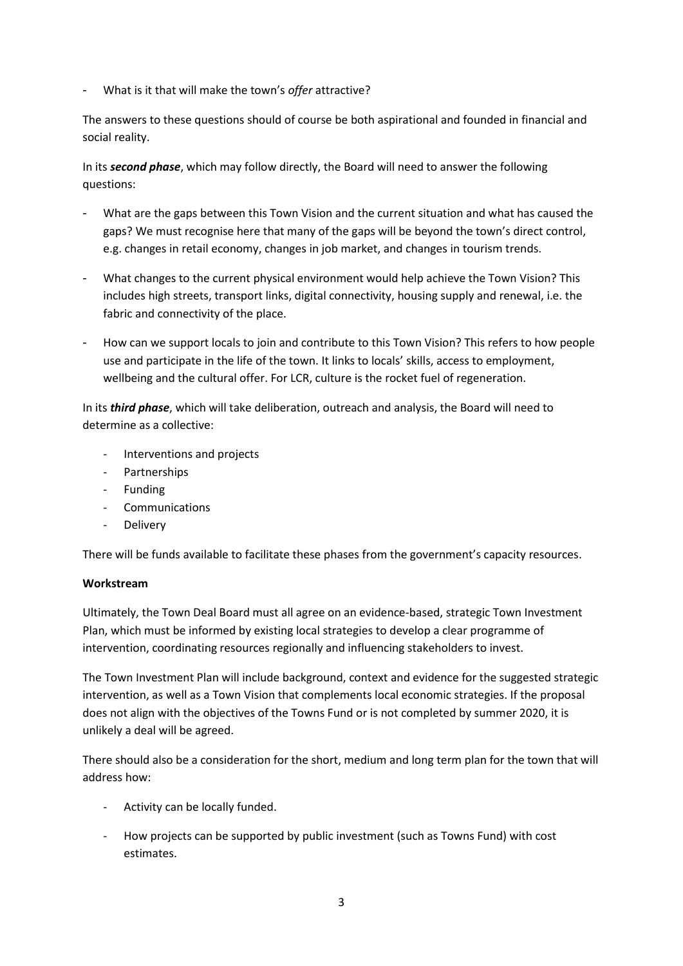- What is it that will make the town's *offer* attractive?

The answers to these questions should of course be both aspirational and founded in financial and social reality.

In its *second phase*, which may follow directly, the Board will need to answer the following questions:

- What are the gaps between this Town Vision and the current situation and what has caused the gaps? We must recognise here that many of the gaps will be beyond the town's direct control, e.g. changes in retail economy, changes in job market, and changes in tourism trends.
- What changes to the current physical environment would help achieve the Town Vision? This includes high streets, transport links, digital connectivity, housing supply and renewal, i.e. the fabric and connectivity of the place.
- How can we support locals to join and contribute to this Town Vision? This refers to how people use and participate in the life of the town. It links to locals' skills, access to employment, wellbeing and the cultural offer. For LCR, culture is the rocket fuel of regeneration.

In its *third phase*, which will take deliberation, outreach and analysis, the Board will need to determine as a collective:

- Interventions and projects
- Partnerships
- Funding
- **Communications**
- **Delivery**

There will be funds available to facilitate these phases from the government's capacity resources.

# **Workstream**

Ultimately, the Town Deal Board must all agree on an evidence-based, strategic Town Investment Plan, which must be informed by existing local strategies to develop a clear programme of intervention, coordinating resources regionally and influencing stakeholders to invest.

The Town Investment Plan will include background, context and evidence for the suggested strategic intervention, as well as a Town Vision that complements local economic strategies. If the proposal does not align with the objectives of the Towns Fund or is not completed by summer 2020, it is unlikely a deal will be agreed.

There should also be a consideration for the short, medium and long term plan for the town that will address how:

- Activity can be locally funded.
- How projects can be supported by public investment (such as Towns Fund) with cost estimates.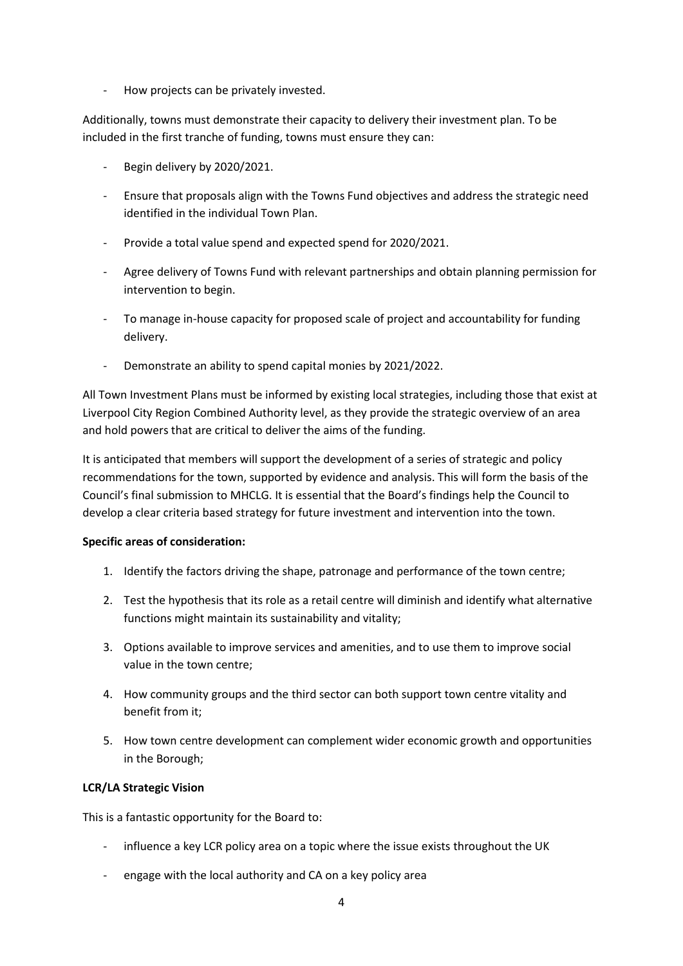How projects can be privately invested.

Additionally, towns must demonstrate their capacity to delivery their investment plan. To be included in the first tranche of funding, towns must ensure they can:

- Begin delivery by 2020/2021.
- Ensure that proposals align with the Towns Fund objectives and address the strategic need identified in the individual Town Plan.
- Provide a total value spend and expected spend for 2020/2021.
- Agree delivery of Towns Fund with relevant partnerships and obtain planning permission for intervention to begin.
- To manage in-house capacity for proposed scale of project and accountability for funding delivery.
- Demonstrate an ability to spend capital monies by 2021/2022.

All Town Investment Plans must be informed by existing local strategies, including those that exist at Liverpool City Region Combined Authority level, as they provide the strategic overview of an area and hold powers that are critical to deliver the aims of the funding.

It is anticipated that members will support the development of a series of strategic and policy recommendations for the town, supported by evidence and analysis. This will form the basis of the Council's final submission to MHCLG. It is essential that the Board's findings help the Council to develop a clear criteria based strategy for future investment and intervention into the town.

# **Specific areas of consideration:**

- 1. Identify the factors driving the shape, patronage and performance of the town centre;
- 2. Test the hypothesis that its role as a retail centre will diminish and identify what alternative functions might maintain its sustainability and vitality;
- 3. Options available to improve services and amenities, and to use them to improve social value in the town centre;
- 4. How community groups and the third sector can both support town centre vitality and benefit from it;
- 5. How town centre development can complement wider economic growth and opportunities in the Borough;

# **LCR/LA Strategic Vision**

This is a fantastic opportunity for the Board to:

- influence a key LCR policy area on a topic where the issue exists throughout the UK
- engage with the local authority and CA on a key policy area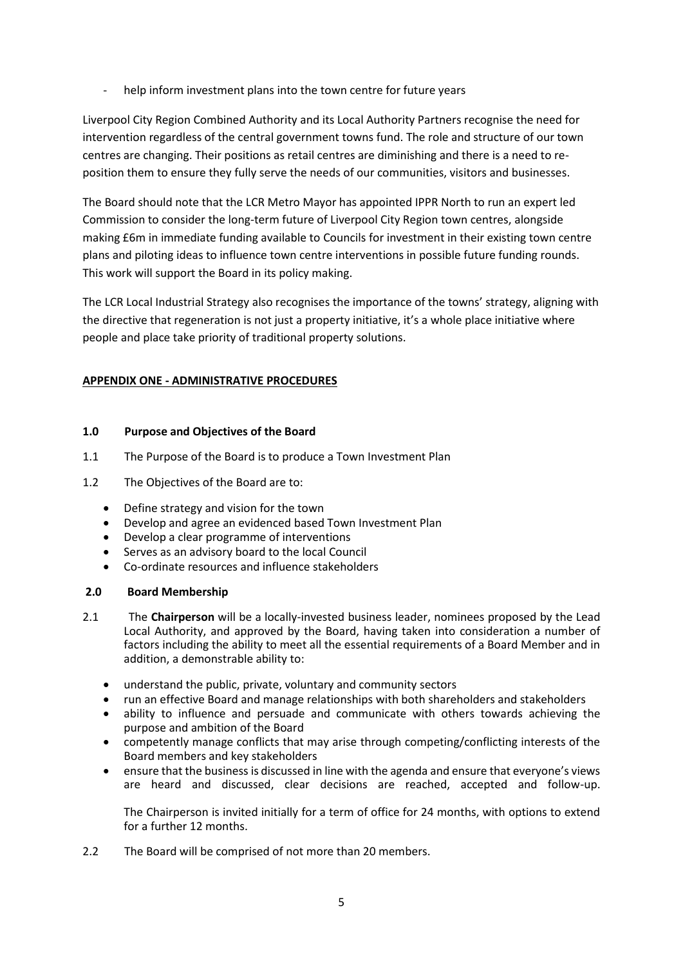help inform investment plans into the town centre for future years

Liverpool City Region Combined Authority and its Local Authority Partners recognise the need for intervention regardless of the central government towns fund. The role and structure of our town centres are changing. Their positions as retail centres are diminishing and there is a need to reposition them to ensure they fully serve the needs of our communities, visitors and businesses.

The Board should note that the LCR Metro Mayor has appointed IPPR North to run an expert led Commission to consider the long-term future of Liverpool City Region town centres, alongside making £6m in immediate funding available to Councils for investment in their existing town centre plans and piloting ideas to influence town centre interventions in possible future funding rounds. This work will support the Board in its policy making.

The LCR Local Industrial Strategy also recognises the importance of the towns' strategy, aligning with the directive that regeneration is not just a property initiative, it's a whole place initiative where people and place take priority of traditional property solutions.

## **APPENDIX ONE - ADMINISTRATIVE PROCEDURES**

## **1.0 Purpose and Objectives of the Board**

- 1.1 The Purpose of the Board is to produce a Town Investment Plan
- 1.2 The Objectives of the Board are to:
	- Define strategy and vision for the town
	- Develop and agree an evidenced based Town Investment Plan
	- Develop a clear programme of interventions
	- Serves as an advisory board to the local Council
	- Co-ordinate resources and influence stakeholders

## **2.0 Board Membership**

- 2.1 The **Chairperson** will be a locally-invested business leader, nominees proposed by the Lead Local Authority, and approved by the Board, having taken into consideration a number of factors including the ability to meet all the essential requirements of a Board Member and in addition, a demonstrable ability to:
	- understand the public, private, voluntary and community sectors
	- run an effective Board and manage relationships with both shareholders and stakeholders
	- ability to influence and persuade and communicate with others towards achieving the purpose and ambition of the Board
	- competently manage conflicts that may arise through competing/conflicting interests of the Board members and key stakeholders
	- ensure that the business is discussed in line with the agenda and ensure that everyone's views are heard and discussed, clear decisions are reached, accepted and follow-up.

The Chairperson is invited initially for a term of office for 24 months, with options to extend for a further 12 months.

2.2 The Board will be comprised of not more than 20 members.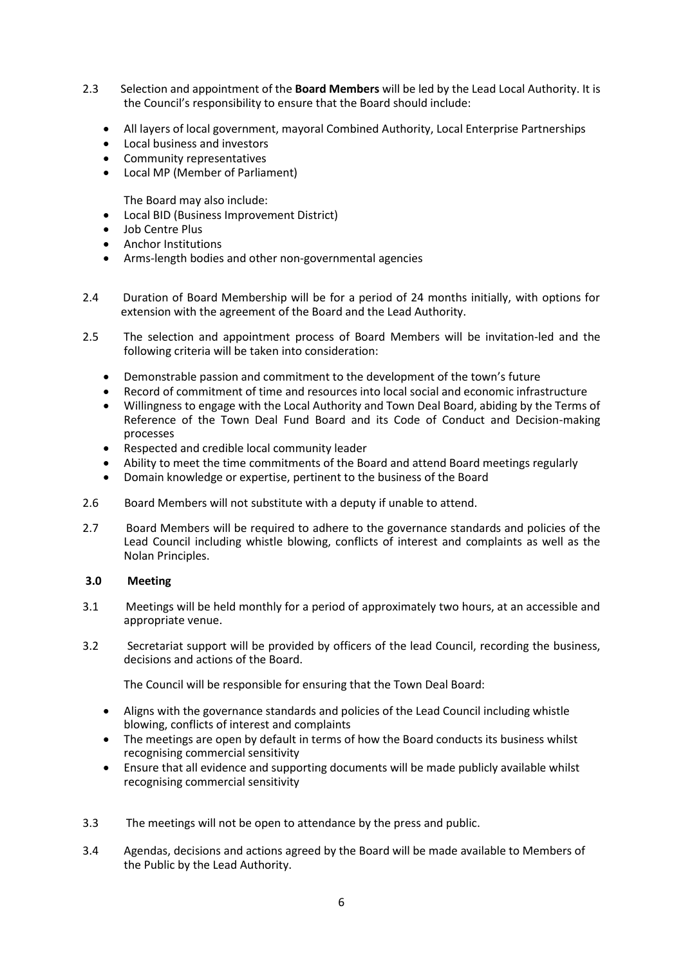- 2.3 Selection and appointment of the **Board Members** will be led by the Lead Local Authority. It is the Council's responsibility to ensure that the Board should include:
	- All layers of local government, mayoral Combined Authority, Local Enterprise Partnerships
	- Local business and investors
	- Community representatives
	- Local MP (Member of Parliament)
		- The Board may also include:
	- Local BID (Business Improvement District)
	- Job Centre Plus
	- Anchor Institutions
	- Arms-length bodies and other non-governmental agencies
- 2.4 Duration of Board Membership will be for a period of 24 months initially, with options for extension with the agreement of the Board and the Lead Authority.
- 2.5 The selection and appointment process of Board Members will be invitation-led and the following criteria will be taken into consideration:
	- Demonstrable passion and commitment to the development of the town's future
	- Record of commitment of time and resources into local social and economic infrastructure
	- Willingness to engage with the Local Authority and Town Deal Board, abiding by the Terms of Reference of the Town Deal Fund Board and its Code of Conduct and Decision-making processes
	- Respected and credible local community leader
	- Ability to meet the time commitments of the Board and attend Board meetings regularly
	- Domain knowledge or expertise, pertinent to the business of the Board
- 2.6 Board Members will not substitute with a deputy if unable to attend.
- 2.7 Board Members will be required to adhere to the governance standards and policies of the Lead Council including whistle blowing, conflicts of interest and complaints as well as the Nolan Principles.

## **3.0 Meeting**

- 3.1 Meetings will be held monthly for a period of approximately two hours, at an accessible and appropriate venue.
- 3.2 Secretariat support will be provided by officers of the lead Council, recording the business, decisions and actions of the Board.

The Council will be responsible for ensuring that the Town Deal Board:

- Aligns with the governance standards and policies of the Lead Council including whistle blowing, conflicts of interest and complaints
- The meetings are open by default in terms of how the Board conducts its business whilst recognising commercial sensitivity
- Ensure that all evidence and supporting documents will be made publicly available whilst recognising commercial sensitivity
- 3.3 The meetings will not be open to attendance by the press and public.
- 3.4 Agendas, decisions and actions agreed by the Board will be made available to Members of the Public by the Lead Authority.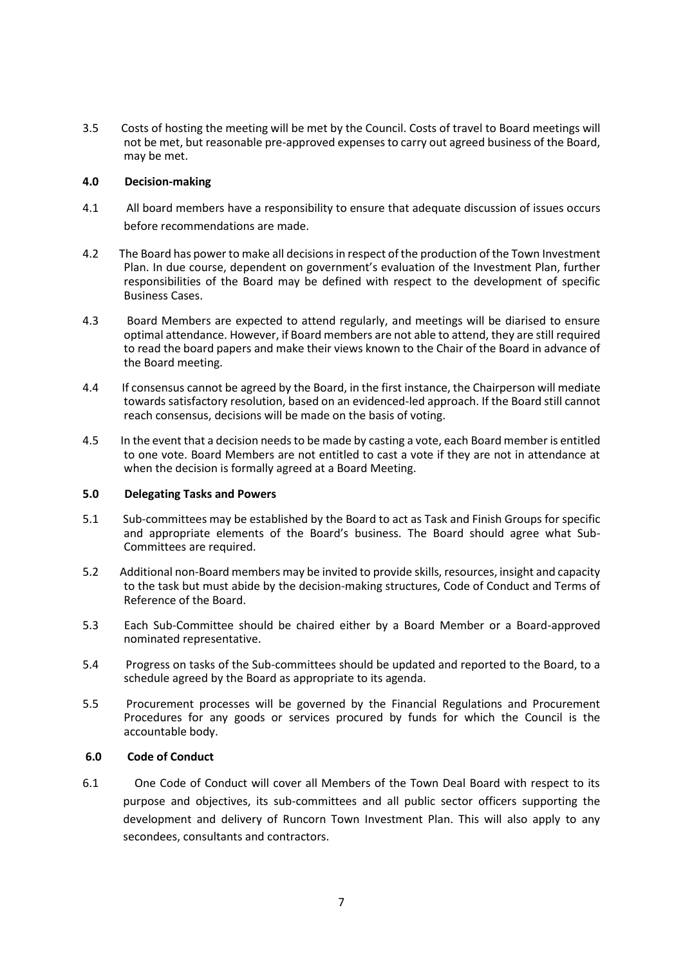3.5 Costs of hosting the meeting will be met by the Council. Costs of travel to Board meetings will not be met, but reasonable pre-approved expenses to carry out agreed business of the Board, may be met.

## **4.0 Decision-making**

- 4.1 All board members have a responsibility to ensure that adequate discussion of issues occurs before recommendations are made.
- 4.2 The Board has power to make all decisions in respect of the production of the Town Investment Plan. In due course, dependent on government's evaluation of the Investment Plan, further responsibilities of the Board may be defined with respect to the development of specific Business Cases.
- 4.3 Board Members are expected to attend regularly, and meetings will be diarised to ensure optimal attendance. However, if Board members are not able to attend, they are still required to read the board papers and make their views known to the Chair of the Board in advance of the Board meeting.
- 4.4 If consensus cannot be agreed by the Board, in the first instance, the Chairperson will mediate towards satisfactory resolution, based on an evidenced-led approach. If the Board still cannot reach consensus, decisions will be made on the basis of voting.
- 4.5 In the event that a decision needs to be made by casting a vote, each Board member is entitled to one vote. Board Members are not entitled to cast a vote if they are not in attendance at when the decision is formally agreed at a Board Meeting.

## **5.0 Delegating Tasks and Powers**

- 5.1 Sub-committees may be established by the Board to act as Task and Finish Groups for specific and appropriate elements of the Board's business. The Board should agree what Sub-Committees are required.
- 5.2 Additional non-Board members may be invited to provide skills, resources, insight and capacity to the task but must abide by the decision-making structures, Code of Conduct and Terms of Reference of the Board.
- 5.3 Each Sub-Committee should be chaired either by a Board Member or a Board-approved nominated representative.
- 5.4 Progress on tasks of the Sub-committees should be updated and reported to the Board, to a schedule agreed by the Board as appropriate to its agenda.
- 5.5 Procurement processes will be governed by the Financial Regulations and Procurement Procedures for any goods or services procured by funds for which the Council is the accountable body.

## **6.0 Code of Conduct**

6.1 One Code of Conduct will cover all Members of the Town Deal Board with respect to its purpose and objectives, its sub-committees and all public sector officers supporting the development and delivery of Runcorn Town Investment Plan. This will also apply to any secondees, consultants and contractors.